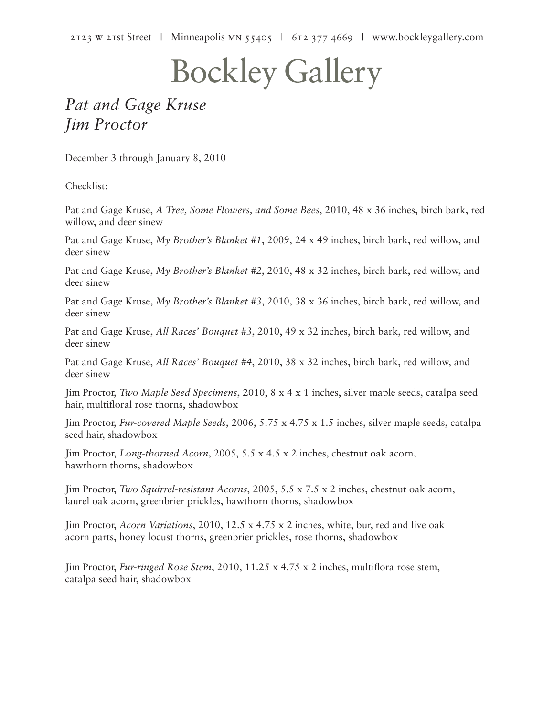2123 w 21st Street | Minneapolis mn 55405 | 612 377 4669 | www.bockleygallery.com

## **Bockley Gallery**

## *Pat and Gage Kruse Jim Proctor*

December 3 through January 8, 2010

Checklist:

Pat and Gage Kruse, *A Tree, Some Flowers, and Some Bees*, 2010, 48 x 36 inches, birch bark, red willow, and deer sinew

Pat and Gage Kruse, *My Brother's Blanket #1*, 2009, 24 x 49 inches, birch bark, red willow, and deer sinew

Pat and Gage Kruse, *My Brother's Blanket #2*, 2010, 48 x 32 inches, birch bark, red willow, and deer sinew

Pat and Gage Kruse, *My Brother's Blanket #3*, 2010, 38 x 36 inches, birch bark, red willow, and deer sinew

Pat and Gage Kruse, *All Races' Bouquet #3*, 2010, 49 x 32 inches, birch bark, red willow, and deer sinew

Pat and Gage Kruse, *All Races' Bouquet #4*, 2010, 38 x 32 inches, birch bark, red willow, and deer sinew

Jim Proctor, *Two Maple Seed Specimens*, 2010, 8 x 4 x 1 inches, silver maple seeds, catalpa seed hair, multifloral rose thorns, shadowbox

Jim Proctor, *Fur-covered Maple Seeds*, 2006, 5.75 x 4.75 x 1.5 inches, silver maple seeds, catalpa seed hair, shadowbox

Jim Proctor, *Long-thorned Acorn*, 2005, 5.5 x 4.5 x 2 inches, chestnut oak acorn, hawthorn thorns, shadowbox

Jim Proctor, *Two Squirrel-resistant Acorns*, 2005, 5.5 x 7.5 x 2 inches, chestnut oak acorn, laurel oak acorn, greenbrier prickles, hawthorn thorns, shadowbox

Jim Proctor, *Acorn Variations*, 2010, 12.5 x 4.75 x 2 inches, white, bur, red and live oak acorn parts, honey locust thorns, greenbrier prickles, rose thorns, shadowbox

Jim Proctor, *Fur-ringed Rose Stem*, 2010, 11.25 x 4.75 x 2 inches, multiflora rose stem, catalpa seed hair, shadowbox